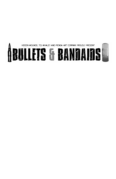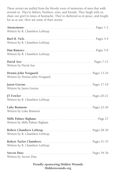These stories are pulled from the bloody roots of memories of men that walk around us. They're fathers, brothers, sons, and friends. They laugh with us; share our grief in times of heartache. They've sheltered us in peace, and fought for us at war. Here are some of their stories.

| Written by R. Chambers LeHeup   |
|---------------------------------|
| Written by R. Chambers LeHeup   |
| Written by R. Chambers LeHeup   |
| Written by David Axe            |
| Written by Dennis John Norgaard |
| Written by Jason Greene         |
| Written by R. Chambers LeHeup   |
| Written by Luke Brannon         |
| Written by Mills Palmer Bigham  |
| Written by R. Chambers LeHeup   |
| Written by R. Chambers LeHeup   |
| Written by Steven Diaz          |

#### **Proudly sponsoring Hidden Wounds Hiddenwounds.org**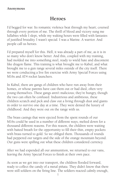#### **Anonymous**

### **Heroes**

I'd begged for war. Its romantic violence beat through my heart; coursed through every portion of me. The thrill of blood and victory sung me lullabies while I slept, while my waking hours were filled with fantasies of justified brutality. I wasn't special. I was a Marine. A warrior. And people call us heroes.

I'd prepared myself for this. Hell, it was already a part of me, as it is in so many who don't know better. And this, coupled with my training, had molded me into something steel, ready to wield hate and discontent like dragon flame. This training is what brought me to Kabul, and what brought me to a gun range several miles outside of the city itself. There we were conducting a live fire exercise with Army Special Forces using M16s and AT4 rocket launchers.

In Kabul, there are gangs of children who have run away from their homes, or whose parents have cast them out or had died, often very young themselves. These gangs aren't malicious; they're hungry, though the two can often be confused. Industrious and ambitious, these children scratch and pick and claw out a living through dust and giants in order to survive one day at a time. They were denied the luxury of childhood. And they were out on the range with us.

The brass casings that were ejected from the spent rounds of our M16s could be used in a number of different ways, melted down for a thousand different reasons. For this reason, the children were waiting with baited breath for the opportunity to fill their thin, empty pockets with brass turned to gold. So we obliged them. Thousands of rounds had peppered our targets and the side of the orange mountain beyond. Our guns were spilling out what these children considered currency.

After we had expended all our ammunition, we returned to our vans, leaving the Army Special Forces to finish at their own pace.

As soon as we got into our transport, the children flooded forward, ready to collect the candy of a metal piñata. They didn't know that there were still soldiers on the firing line. The soldiers reacted calmly enough,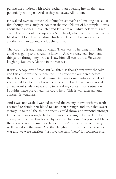pelting the children with rocks, rather than opening fire on them and potentially hitting us. And so they ran away. All but one.

He walked over to our van clutching his stomach and making a face I at first thought was laughter. An then the rock fell out of his temple. It was about three inches in diameter and left a broken white hole with a red eye in the center of this 8-year-old's forehead, which almost immediately filled with blood that ran down his face. He fell to his knees while another kid ran up and knelt behind him.

That country is anything but clean. There was no helping him. This child was going to die. And he knew it. And we watched. Too many things ran through my head as I saw him fall backwards. He wasn't laughing. But every Marine in the van was.

It was a cacophony of mad gut-laughter, as though war were the joke and this child was the punch line. The chuckles floundered before they died, hiccups of jaded comments transitioning into a cold, dead silence. I'd like to think I was the exception, but I may have cracked an awkward smile, not wanting to reveal my concern for a situation I couldn't have prevented, nor could help. This is war, after all, and concern is weakness.

And I was not weak. I wanted to rend the enemy in two with my teeth. I wanted to drink their blood to gain their strength and taste that sweet victory; to take all the shit the enemy could throw and respond stronger. Of course it was going to be hard. I was just going to be harder. The enemy had their methods and, by God, we had ours. So you can't blame the soldiers, nor the marines. Not entirely. Any one of us could very well have done the same. And they laughed, and I smiled because it's war and we were warriors. Just save the term "hero" for someone else.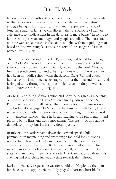# **Burl H. Vick**

No one speaks the truth with such cruelty as Time. It holds our heads so that we cannot turn away from the inevitable nature of nature, struggle being its foundation, and war, man's expression of it. Carl Jung once said "As far as we can discern, the sole purpose of human existence is to kindle a light in the darkness of mere being." In trying to kindle this light, wars are fought and people are killed. The motivations of these wars are as varied as the colors of light, with man judging man based on his own struggle. This is the story of the struggle of a man named Burl H. Vick.

The war had started in June of 1950, bringing first blood to the stage of the Cold War. Korea had been stripped from Japan and split like spurned lovers down the 38th parallel, separating the north (Russia) from the south (America) and ushering in a new form of warfare. Burl had been in middle school when the Second Great War had ended. Because of the lack of media coverage of war at the time and the cultural feeling of unity through victory, the noble burden of duty to war had found purchase in Burl's young soul.

At age 19, and being of strong mind and body, he began as a mechanic on jet airplanes with the Navy/Air Force fire squadron on the USS Philippine Sea, an aircraft carrier that has now been decommissioned and broken down. (Age? 19 When did he join? Feb 14th 1951) His test scores, coupled with his demonstrative talent, brought him into naval air intelligence school, where he began studying aerial photographs and plotting bomb lines and troop movements. The gravity of this can be difficult to portray, but Burl's story does it justice.

In July of 1953, orders came down that several specific hills, paramount in maintaining and spreading a foothold for US troops, needed to be taken and that Burl should set up the bomb lines for the close air support. This wasn't Burl's first mission, but it's one of his most memorable. It's been said that war is hell, but the facets of that statement are many. There were already American troops on those hills, clawing and scratching inches at a time towards the hilltops.

Burl did what any respectable warrior would do. He plotted the points for the close air support. He willfully played a part in a horrible battle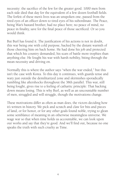necessity: the sacrifice of the few for the greater good. 1000 men from each side died that day for the equivalent of a few dozen football fields. The forfeit of these men's lives was an unspoken one, passed from the tired eyes of an officer down to tired eyes of his subordinate. The Peace, being War's bastard brother, had no place here; no peace of mind, no peace in finality, save for the final peace of those sacrificed. Or so you would think.

But Burl has found it. The justification of his actions is not in doubt, this war being one with cold purpose, backed by the distant warmth of those cheering him on back home. He had done his job and protected that which his country demanded, his scars of battle more trophies than anything else. He fought his war with harsh nobility, biting through the mean necessity and driving on.

Normally this is where the author says "when the war ended," but this isn't the case with Korea. To this day it continues, with guards tense and wary just outside the demilitarized zone and skirmishes sporadically rumbling like aftershocks throughout the 38th parallel. This war, still being fought, gives rise to a feeling of cathartic principle: That backing down means losing. This is why Burl, as well as an uncountable number of men, struggled and will struggle, though the motivations change.

These motivations differ as often as man does, the victors deciding how it's written in history. We pick and scratch and claw for bits and pieces of land, or for honor, or for any other goals found noble, trying to glean some semblance of meaning in an otherwise meaningless universe. We wage war so that when time holds us accountable, we can look upon our works and say that they're good. And we'll find out, because no one speaks the truth with such cruelty as Time.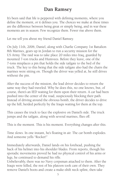### **Dan Ramsey**

It's been said that life is peppered with defining moments, where you define the moment, or it defines you. The choices we make at these times are the difference between being great or simply being, and in war these moments are in season. Few recognize them. Fewer rise above them.

Let me tell you about my friend Daniel Ramsey.

On July 11th, 2006, Daniel, along with Charlie Company 1st Battalion 8th Marines, gears up in Jordan to run a security mission for the US Army. The raid was to take place 20 miles into Iraq, guarded by mounted 7-ton trucks and Humvees. Before they leave, one of the 7-tons misplaces a pin that holds the side tailgate to the bed of the truck. The key to this being that the side tailgate also had the chairs the marines were sitting on. Though the driver was yelled at, he still drives without the pin.

After the success of the mission, the lead driver decides to return the same way they had traveled. Why he does this, no one knows, but, of course, there's an IED waiting for them upon their return. A car had been pushed into the center of the road, suspiciously blocking their path. Instead of driving around the obvious bomb, the driver decides to drive up the hill, herded perfectly by the Iraqis waiting for them at the top.

This causes the truck to face the explosive on Daniel's side. The truck jumps and the tailgate, along with several marines, flies off.

This is the moment. This is his moment. Everything changes after this.

Time slows. In one instant, he's floating in air. The car bomb explodes. And someone yells "Rocket!"

Immediately afterwards, Daniel lands on his forehead, pushing the back of his helmet into his shoulder blades. From reports, though his sporadic movements proved he had no physical control of his arms or legs, he continued to demand his rifle.

Unbelievably, there was no Navy corpsman attached to them. After the Iraqis were killed, the rest of his platoon took care of their own. They remove Daniel's boots and create a make-shift neck splint, then take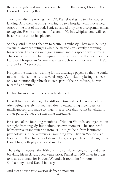the side tailgate and use it as a stretcher until they can get back to their Forward Operating Base.

Two hours after he reaches the FOB, Daniel wakes up to a helicopter landing. And then he blinks, waking up to a hospital with two armed Arabs at the foot of his bed. Panic subsided only after a corpsman enters to explain. He's in a hospital in Lebanon. He has whiplash and will soon be able to return to his platoon.

So they send him to Lebanon to secure its embassy. They were helping evacuate American refugees when he started consistently dropping his weapon. His hands were going numb and his speech was slurring. That's what traumatic brain injury can do, apparently. The doctors at the Lundstahl hospital in Germany said as much when they saw him. He'd also broken 3 vertebrae.

He spent the next year waiting for his discharge papers so that he could return to civilian life. After several surgery's, including fusing his neck only to intentionally rebreak it later (part of the procedure), he was released and retired.

He had his moment. This is how he defined it.

He still has nerve damage. He still sometimes slurs. He is also a hero. After being severely traumatized due to outstanding incompetence, misdiagnosed, and made to linger in a service that wasn't beneficial to either party, Daniel did something incredible.

He is one of the founding members of Hidden Wounds, an organization wrought from tragedy, but defining its own moment. This non-profit helps war veterans suffering from PTSD to get help from legitimate psychologists in the veteran's surrounding area. Hidden Wounds is a testament to the character of its members, and parallels the strength that Daniel has, both physically and mentally.

That's right. Between the 10th and 11th of November, 2011, and after breaking his neck just a few years prior, Daniel ran 100 miles in order to raise awareness for Hidden Wounds. It took him 34 hours. So that's my friend Daniel Ramsey.

And that's how a true warrior defines a moment.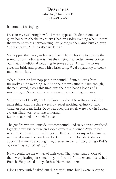### **Deserters Abeche, Chad, 2008 by DAVID AXE**

It started with singing.

I was in my sweltering hovel – I mean, typical Chadian room – at a guest house in Abeche in eastern Chad on Friday evening when I heard the women's voices harmonizing. My photographer Anne bustled over. "Do you hear it? I think it's a wedding."

We hopped the fence, audio recorders in hand, hoping to capture the sound for our radio reports. But the singing had ended. Anne pointed out that, at traditional weddings in some part of Africa, the women greet the bride and groom with a brief song. We'd apparently arrived a moment too late.

When I hear the first pop-pop-pop sound, I figured it was from fireworks at the wedding. But Anne said it was gunfire. Sure enough, the next sound, closer this time, was the deep booda-booda of a machine gun. Something was happening, and coming our way.

What was it? EUFOR, the Chadian army, the U.N. – they all said the same thing, that the three-week-old rebel uprising against corrupt Chadian president Idriss Deby was over, the rebels were back in Sudan, eastern Chad was returning to normal. But this sounded like a rebel attack.

The gunfire was just outside our compound. Red traces arced overhead. I grabbed my still camera and video camera and joined Anne in her room. Then I realized I had forgotten the battery for my video camera. As I raced across the courtyard back to my room, two dark shapes appeared at my side: young men, dressed in camouflage, toting AK-47s. "Ca va?" I asked. What's up?

Now I could see the whites of their eyes. They were scared. One of them was pleading for something, but I couldn't understand his rushed French. He plucked at my clothes. He wanted them.

I don't argue with freaked-out dudes with guns, but I wasn't about to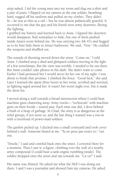strip naked. I led the young men into my room and dug out a shirt and a pair of jeans. I flipped on my camera as the one soldier, breathing hard, tugged off his uniform and pulled on my clothes. They didn't fit – he was as thin as a rail – but he was almost pathetically grateful. It occurred to me that the guy and his friend were army deserters, fleeing the fighting.

I grabbed my battery and hurried back to Anne. I figured the deserters would disappear, find someplace to hide, but one of them pushed inside Anne's room behind me. He was carrying two AK-47s and begged us to let him hide them in Anne's bathroom. We said, "Non." He cradled the weapons and shuffled out.

The sounds of shooting moved down the street. "Come on," I told Anne. I climbed atop a shed and glimpsed soldiers moving in the light of a few streetlamps. But the view was terrible. I needed to be out there. But Anne couldn't take photos in the dark. She didn't want to come. Earlier I had promised her I would never let her out of my sight: I was about to break that promise. I climbed the fence. "Good luck," she said. Later I learned she spent three hours in her room, terrified and worried, as fighting raged around her. It wasn't her worst night ever, but it made the short list.

I moved along a wall towards a broad intersection where I could hear machine guns chattering away. Army trucks – "technicals" with machine guns on their hoods – roared past. Each time one did, I dove behind a bush or a heap of garbage. In Chad, the army is as dangerous as the rebel groups, if not more so, and the last thing I wanted was a run-in with a truckload of power-mad soldiers.

The gunfire picked up. I ducked into a small courtyard and took cover behind a wall. Someone hissed at me. "Tu ne peux pas rester ici." Get out.

"Desole," I said and crawled back onto the street. I cowered there for a moment. Then I saw it: a figure, climbing over the wall of a nearby army compound (I could hear a tank engine rumbling inside). The soldier dropped onto the street and ran towards me. "Ca va?" I said.

His name was Ahmed. He asked me what the Hell I was doing out there. I said I was a journalist and showed him my cameras. He asked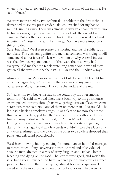where I wanted to go, and I pointed in the direction of the gunfire. He said, "Venez."

We were intercepted by two technicals. A soldier in the first technical demanded to see my press credentials. As I reached for my badge, I mulled running away. There was almost no way an encounter with two technicals was going to end well: at the very least, they would seize my cameras. But another soldier in the back of the truck waved his hand impatiently. "Laissez," he said. Let him go. We have more important things to do.

Sure, but what? We'd seen plenty of shooting and lots of soldiers, but no rebels. The constant gunfire told me that someone was trying to kill someone else, but it wasn't clear who, whom or why. A rebel incursion was the obvious explanation, but if that were the case, why had everyone told me that the rebels were long gone? And how had they gotten all the way into Abeche past EUFOR and the Chadian army?

Ahmed and I ran. We ran so far that I got lost. He said if I bought him a pack of cigarettes, he'd show me the way back to my guesthouse. "Cigarettes? Mais, il est nuit." Dude, it's the middle of the night.

So I gave him two bucks instead so he could buy his own smokes tomorrow. He said he would show me a back way to the guesthouse. As we picked our way through narrow, garbage-strewn alleys, we came across two more soldiers – one of them no more than 12 years old. The kid had a hacking smoker's cough. It was clear to me now that these three were deserters, just like the two men in my guesthouse. Every time an army patrol sauntered past, my "friends" hid in the shadows. During one close call, we hurled ourselves into a festering garbage dump. Perhaps figuring that a few turds wouldn't make the place stink any worse, Ahmed and the older of the other two soldiers dropped their pants and defecated prodigiously.

We'd been moving, hiding, moving for more than an hour. I'd managed to record much of my conversation with Ahmed and take video of a young man, dressed in a mix of army fatigues and civilian clothes, bleeding and dying on the road. The stories were good, and worth the risk, but I guess I pushed too hard. When a pair of motorcycles zipped past, catching us in their headlights, Ahmed became suspicious. He asked why the motorcyclists would be looking for us. They weren't,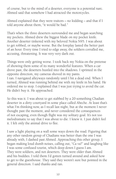of course, but to the mind of a deserter, everyone is a potential narc. Ahmed said that somehow I had attracted the motorcycles.

Ahmed explained that they were traitors – no kidding – and that if I told anyone about them, "it would be bad."

That's when the three deserters surrounded me and began searching my pockets. Ahmed drew the biggest blade on my pocket knife. Another deserter tinkered with my beloved Nokia N95. I was about to get robbed, or maybe worse. But the foreplay lasted the better part of an hour. Every time I tried to edge away, the soldiers corralled me, accusing, threatening. It was very very dark out.

Things were only getting worse. I took back my Nokia on the pretense of showing them some of its many wonderful features. When a car drove past, the deserters hustled into the shadows. I sprinted in the opposite direction, my cameras shoved in my pants. I ran. I navigated alleyways randomly until I hit a dead end. When I turned, Ahmed was running behind me with my knife in his hand. He ordered me to stop. I explained that I was just trying to avoid the car.

He didn't buy it. He approached.

So this was it. I was about to get stabbed by a 20-something Chadian deserter in a dirty courtyard in some place called Abeche. At least that's what I'm thinking now, as I recall last night, but at the moment I never thought past the moment, and never considered the consequences of not escaping, even though flight was my solitary goal. It's not too melodramatic to say that I was about to die. I knew it. I just didn't feel it. I felt only the animal drive to flee.

I saw a light playing on a wall some ways down the road. Figuring that any other random group of Chadians was better than the one I was already with, I dashed past Ahmed. Approaching this other group, I began making loud dumb noises, calling out, "Ca va?" and laughing like I was some confused tourist, which deep down I guess I am. They were soldiers, and not deserters. They were older than Ahmed and his buddies. I told them I'd gotten turned around and asked how to get to the guesthouse. They said they weren't sure but pointed in the general direction. I said thanks and ran.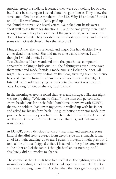Another group of soldiers. It seemed they were out looking for bodies, but I can't be sure. Again I asked about the guesthouse. They knew the street and offered to take me there – for \$12. Why 12 and not 13 or 15 or 100, I'll never know. I gladly paid up.

We found the street. We heard voices. We poked our heads over a short wall to ask them for directions … and the two young men inside recognized me. They had seen me at the guesthouse, which was next door, it turned out. They escorted me the short way home, and I offered some cash. One declined. The other accepted.

I hugged Anne. She was relieved, and angry. She had decided I was either dead or arrested. She told me to take a cold shower. I did. I thought I would vomit. I didn't.

Two Chadian soldiers wandered onto the guesthouse compound, apparently looking to hide out until the fighting was over. Anne gave them water and made friends. I made sure she locked the door. All night, I lay awake on my bedroll on the floor, sweating from the intense heat and clammy from the after-effects of two hours on the edge. I listened to the soldiers trying to break into the vacant room next to ours, looking for loot or shelter, I don't know.

In the morning everyone rolled their eyes and shrugged like last night was no big thing. "Welcome to Chad," more than one person said. As we headed out for a scheduled lunchtime interview with EUFOR, the young soldier I had given my jeans to walked up with his father and asked for his uniform back. The guesthouse proprietor made him promise to return my jeans first, which he did. In the daylight I could see that the kid couldn't have been older than 13, and that made me want to cry.

At EUFOR, over a delicious lunch of tuna salad and casserole, some kind of dreadful feeling surged from deep inside my stomach. It was all of last night catching up to me, I guess. I thought I might pass out. I took a bite of tuna. I sipped coffee. I listened to the polite conversation at the other end of the table. I thought hard about nothing, and I absolutely did not resolve to change.

The colonel at the EUFOR base told us that all the fighting was a huge misunderstanding. Chadian soldiers had captured some rebel trucks and were bringing them into Abeche when the city's garrison opened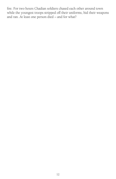fire. For two hours Chadian soldiers chased each other around town while the youngest troops stripped off their uniforms, hid their weapons and ran. At least one person died – and for what?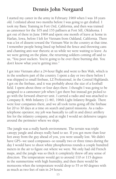# **Dennis John Norgaard**

I started my career in the army in February 1969 when I was 18 years old. I enlisted about two months before I was going to get drafted. I took my Basic Training in Fort Ord, California, and then was trained as cannoneer for the 105 and 155 pallisers at Fort Sill, Oklahoma. I got out of there in June 1969 and spent one month of leave at home in Harlan, Iowa, before I left for Vietnam from Oakland, California. There was a lot of dissent toward the Vietnam War in the country at that time. I remember people being lined up behind the fence and throwing cans and chanting anti-war rhetoric at us while we were waiting to leave. As we were getting on the plane, the returning soldiers coming off said to us, "You poor suckers. You're going to be over there burning shit. You don't know what you're getting into."

I got into Vietnam after a 24-hour flight and went to Ben Wah, which is in the southern part of the country. I spent a day or two there before I was shipped to small firebase, LZ Professional, in the Central Highlands. I got on the firebase, and it was probably about the size of a football field. I spent about three or four days there. I thought I was going to be assigned to a cannoneer job when I got there but instead got picked to go with the forward observer unit. I carried a radio and was attached to Company B, 46th Infantry (1-46), 196th Light Infantry Brigade. There were four companies there, and we all took turns going off the firebase for 20 to 30 days at a time on search and patrol missions. As a radiotelephone operator, my job was basically to call in and direct artillery fire for the infantry company, and at night I would set defensive targets around the perimeter where we slept.

The jungle was a really harsh environment. The terrain was triple canopy jungle and always really hard to see. If you got more than four feet away from the guy ahead of you, you were usually lost. We didn't have GPS--we used compasses--so usually two or three times during the day I would have to shoot white phosphorous rounds a couple hundred meters in the air to figure out where we were. We only had old French maps, and the jungle was so thick it completely threw off any sense of direction. The temperature would get to around 110 or 115 degrees in the summertime with high humidity, and then there would be monsoons when the temperature would drop to 55 or 60 degrees with as much as two feet of rain in 24 hours.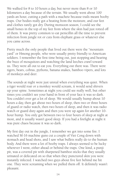We walked for 8 to 10 hours a day, but never more than 8 or 10 kilometers a day because of the terrain. We usually went about 100 yards an hour, cutting a path with a machete because trails meant booby traps. Our bodies really got a beating from the moisture, and our feet and clothes rarely got dry. During monsoon season, I could see the small bones in the top of my feet from where the skin had just rotted off of them. It was pretty common to eat penicillin all the time to prevent infection from jungle rot or cuts from elephant grass or whatever else you came across.

Pretty much the only people that lived out there were the "mountain yard" or Hmong people, who were usually pretty friendly to American soldiers. I remember the first time being out, just stopping and hearing the buzz of mosquitoes and watching the land leeches crawl toward us. They were all out to eat you. Everything out there was. There were tigers, bears, cobras, pythons, banana snakes, bamboo vipers, and lots of monkeys and deer.

The sounds at night were just unreal when everything was quiet. When a tiger would roar or a monkey would scream, it would send shivers up your spine. Sometimes at night you could see really well, but other times you couldn't see your hand in front of your face it was so dark. You couldn't ever get a lot of sleep. We would usually hump about 10 hours a day, then get about two hours of sleep, then two or three hours of guard or radio watch, then two hours of sleep, and then it was radio watch or guard duty again and then you were up again for another 10 hour hump. You only got between two to four hours of sleep at night at most, and it usually wasn't good sleep. If you had a firefight at night it was pure chaos because it was so dark.

My first day out in the jungle, I remember we got into some fire. I watched M-16 machine guns cut a couple of Viet Cong down with stomach and head shots, and I saw what bullets really do to the human body. And there were a lot of booby traps. I always seemed to be lucky wherever I went, either ahead or behind the traps. One kind, a punji pit, was a covered pit with sharpened bamboo sticks that they usually urinated or defecated on so that when they punctured skin you were instantly infected. I watched two guys about five feet behind me hit one. They were screaming when we pulled them off. It definitely wasn't pleasant.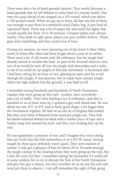There were also a lot of hand grenade injuries. They would detonate a hand grenade that we left behind or some kind of a mortar round. One time two guys ahead of me stepped on a 105 round, which was about a 150-pound round. When we got up to them, all that was left of them was enough to put them in a sandwich-sized Ziploc bag. It just kind of vaporized them. There was a lot of sniper fire and small fire fights that would usually last from 10 to 30 minutes. Chopper pilots were always nearby. They dealt in tight spots, places you just couldn't believe. Those guys were something, and they saved a lot of lives.

During one mission, we were operating out of the lower A Shau Valley, south of where Khe Sahn had been fought about a year or so earlier. There were a lot of old trucks and old ordinance, but the jungle had already started to reclaim the land. As part of the forward observer unit, two of us would be sent off into the jungle with binoculars and a radio to see if we could set up targets or find any movement. A lieutenant and I had been sitting for an hour or two, glassing an open spot by a trail through the jungle. It was daytime, but in triple-layer canopy jungle, where the light seldom hits the ground, it was hard to tell.

I remember seeing hundreds and hundreds of North Vietnamese regulars that were going up this trail-- women, men, everybody- just a lot of traffic. They were hauling a lot of ordinance, and after a hundred or so of them went by, I spotted a guy with blond hair. He was about my size, 6'3" or 6'4" and in fairly good shape; a lot bigger than the Vietnamese regulars. He had on an old set of fatigues that looked like they were kind of battered from extensive jungle use. They had his hands tethered behind his back with a leather piece of rope and a leather strap tied around his neck, and they were leading him up the trail.

He was apparently a prisoner of war, and I imagine they were taking him up North into the hills somewhere or to a P.O.W. camp. Getting caught by those guys definitely wasn't good. They were masters of torture. I only got a glimpse of him for about 20 or 30 yards through the jungle canopy in the clearing where they were going up the trail, but I sure felt sorry for him. I remember asking the lieutenant if I could call in some artillery fire to try to disrupt the flow of the North Vietnamese and give this guy a chance, but they wouldn't let us do any fire and said were just there to observe. I can still remember the sight of him going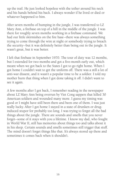up the trail. He just looked hopeless with the tether around his neck and his hands behind his back. I always wonder if he lived or died or whatever happened to him.

After seven months of humping in the jungle, I was transferred to LZ Mary Ann, a firebase on top of a hill in the middle of the jungle. I was there for roughly seven months working in a firebase command. We had our little skirmishes on the fire base--there was always something trying to come through the wire at night or somebody trying to breach the security--but it was definitely better than being out in the jungle. It wasn't great, but it was better.

I left that firebase in September 1970. The tour of duty was 12 months, but I extended for two months and got a five-month early out, which meant when we got back to the States I got to go right home. When I got home I couldn't wait to get the uniform off. There was a still a lot of anti-war dissent, and it wasn't a popular time to be a soldier. I told my mother burn that thing when I got done taking it off. I didn't want to see it again.

A few months after I got back, I remember reading in the newspaper about LZ Mary Ann being overrun by Viet Cong sappers that killed 30 American soldiers and wounded many more. I guess my timing was good or I might have still been there and been one of them. I was just really lucky. After I got home I stayed in a state of drunken or druginduced stupor for probably too long. I was trying to forget all the bad things about the jungle. There are sounds and smells that you never forget--some of it stays with you a lifetime. I know my dad, who fought in World War II, still has memories about things too and talks about it in his sleep. Certain sounds and smells sometimes still trigger that stuff. The mind doesn't forget things like that. It's always stored up there and sometimes it comes back when it shouldn't.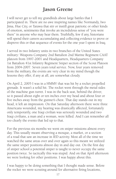# **Jason Greene**

I will never get to tell my grandkids about large battles that I participated in. There are no awe inspiring names like Normandy, Iwo Jima, Hue City, or Tarawa that stir or instill great patriotic or other kinds of emotion, sentiments that invoke an incredulous sense of "you were there" in anyone who may hear them. Truthfully, few if any, historians will spend their careers accumulating and collecting evidence to prove or disprove this or that sequence of events for the one year I spent in Iraq.

I served in two Infantry units in two branches of the United States military: Weapons Company 2nd Battalion 2nd Marine Regiment CAAT platoon from 1997-2001 and Headquarters, Headquarters Company 1st Battalion 41st Infantry Regiment Sniper section of the Scout Platoon from 2004-2007. Seven years total service. Now, four years removed from the military, the events are very clear in my mind though the lessons they offer, if any at all, are somewhat cloudy.

On April 2, 2005 I was in a HMMV that was hit by a rocket propelled grenade. It wasn't a solid hit. The rocket went through the metal sides of the machine gun turret. I was in the back seat, behind the driver, so it passed about eight or ten inches over my head and about four or five inches away from the gunner's chest. That day stands out in my head, it left an impression. On that Saturday afternoon there were three Americans wounded, my hearing was drastically affected, fortunately only temporarily, one Iraqi civilian was seriously wounded and two Iraqi civilians, a man and a woman, were killed. And I can remember all too clearly the events that led up to that.

For the previous six months we went on sniper missions almost every day. This usually meant observing a mosque, a market, or a section of a road that saw an increase in IED activity. Most all of the time we watched the same areas over and over again so this meant we utilized the same sniper positions almost day in and day out. On the first day of sniper school a potential sniper is taught to never occupy the same position twice. So tactically this was stupid. And on that April afternoon we were looking for other positions. I was happy about this.

I was happy to be doing something that I thought made sense. Before the rocket we were scouting around for alternative firing locations,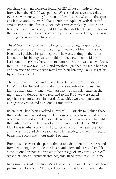searching cars, and someone found an IED about a hundred meters from where the HMMV was parked. We cleared the area and called EOD. So we were waiting for them to blow this IED when, in the span of a few seconds, the world that I could see exploded with dust and smoke. For the first five or so seconds it was completely quiet in the truck. My ears were ringing and I felt as though I had been punched in the face but I could hear the screaming from civilians. The gunner was shaking and repeating, "fuck fuck."

The M240 in the turret was no longer a functioning weapon but a twisted assembly of metal and springs. I looked at him, his face was bleeding. I grabbed his pant leg while he was standing in the turret, looked into his bloody face and told him he would be ok. My team leader and the HMMV he was in and another HMMV were a few blocks from us. So it was my HMMV and another. I grabbed the radio handset and screamed to anyone who may have been listening, "we just got hit by a fucking rocket."

The world was muffled and indecipherable. I couldn't hear shit. The HMMV parked behind us and the soldiers outside of it opened fire killing a man and a woman who I assume was his wife. Later on that night, around dusk, after we returned to the FOB, we were called together, the participants in that day's activities were congratulated on our aggressiveness and our conduct under fire.

Before that I had been involved in several IED attacks to include those that twisted and warped my truck on our way back from an extraction where we watched a market for sixteen hours. There was one firefight that lasted for the better part of an afternoon on October 2, 2004. By May I was terrified every time I chambered a round to leave the FOB and I was frustrated that we seemed to be reacting to threats instead of being more proactive in our tactical posture.

From this one event, this period that lasted about ten to fifteen seconds from beginning to end, I learned fear, and afterwards it was there like a conditioned response. Even after the passage of six years I can recall what that series of events in that hot, shit- filled street instilled in me.

In Cormac McCarthy's Blood Meridian one of the members of Glanton's paramilitary force says, "The good book says that he that lives by the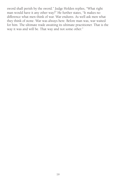sword shall perish by the sword." Judge Holden replies, "What right man would have it any other way?" He further states, "It makes no difference what men think of war. War endures. As well ask men what they think of stone. War was always here. Before man was, war waited for him. The ultimate trade awaiting its ultimate practitioner. That is the way it was and will be. That way and not some other."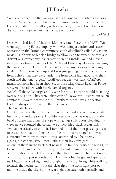# **JT Fowler**

"Whoever appeals to the law against his fellow man is either a fool or a coward. Whoever cannot take care of himself without that law is both. For a wounded man shall say to his assailant, 'If I live, I will kill you. If I die, you are forgiven.' Such is the rule of honor."

-Lamb of God

I was with 2nd Bn 7th Marines' Mobile Assault Platoon (or MAP). We were supporting Echo company, who was doing a cordon and search operation in the farming community south of Fallujah called Al Ziadon. MAP 1A's job was to block a bridge to allow Echo to sweep the area and disrupt or interdict any insurgency operating inside. We had moved into our position the night of the 24th and I had stayed awake, walking the lines from truck to truck to make sure all my boys were keeping vigilant. As the sun came up and I was just getting to sleep, a call came from Echo 2 that they were under fire from some high ground to their south and that one "urgent" CASEVAC request was sent. CASEVAC meant someone had been shot. So, as the acting Quick Reaction Force, we were dispatched with barely tamed urgency.

We left all the spike strips and C-wire for MAP 1B, who would be taking over our position. They were taken care of. So we ran. Toward our fallen comrades. Toward not friends, but brothers. Since I was the section leader I always put myself in the first truck.

The Suicide Truck.

One kilometer to the south, our turn on the road and our turn of fate became one and the same. I couldn't see exactly what was around the bend as there was a line of shops with garage style doors blocking my view. As we rounded the corner, we almost hit a black sedan which swerved erratically to our left. I jumped out of the front passenger seat to assess the situation. I made it to the front quarter panel and was confronted with my moment. I was confronted by The Enemy, 4 Al Qaeda, dressed in casual Iraqi clothes; their holy war garb. As one of them in the back seat nearest me frantically tried to reload, he looked up. I saw the fear in his eyes. The wild panic we all feel when our mortality is tested. And he saw the blood in mine. The sweet nectar of justification, just seconds away. The driver hit the gas and sped past us. I button hooked right and brought my rifle up, firing while walking towards the fleeing car. I put the clear tip of the front sight post of my rifle inside the circle of the rear sight aperture both vertically and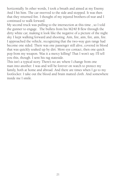horizontally. In other words, I took a breath and aimed at my Enemy. And I hit him. The car swerved to the side and stopped. It was then that they returned fire. I thought of my injured brothers-of-war and I continued to walk forward.

My second truck was pulling to the intersection at this time , so I told the gunner to engage. The bullets from his M240 B flew through the dirty white car, making it look like the negative of a picture of the night sky. I kept walking forward and shooting. Aim, fire, aim, fire, aim, fire. I approached the vehicle, recognizing that the two-way gun range had become one sided. There was one passenger still alive, covered in blood that was quickly soaked up by dirt. More eye contact, then one quick pop from my weapon. Was it a mercy killing? That I won't say. I'll tell you this, though. I sent his rag stateside.

This isn't a typical story. There's no arc where I change from one man into another. I was and will be forever on watch to protect my family, both at home and abroad. And there are times when I go to my footlocker. I take out the blood and brain matted cloth. And somewhere inside me I smile.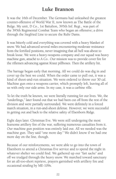# **Luke Brannon**

It was the 16th of December. The Germans had unleashed the greatest counter-offensive of World War II, now known as The Battle of the Bulge. My unit, D Co., 1st Battalion, 395th Inf. Regt., was part of the 395th Regimental Combat Team who began an offensive; a drive through the Siegfried Line to secure the Ruhr Dams.

It was bitterly cold and everything was covered with a heavy blanket of snow. We had advanced several miles encountering moderate resistance from the fortified positions, never imagining that all hell was about to break loose. We were a heavy-weapons company and our squad was heavy machine gun, attaché to A Co.. Our mission was to provide cover fire for the riflemen advancing against Kraut pillboxes. Then the artillery hit.

The barrage began early that morning. All we could do was dig in and cover up the best we could. When the order came to pull out, it was a kind of shoot-and-run situation. We were ordered to throw our 30 cal. Machine gun onto a weapons carrier, which promptly left, leaving all of us with only our side arms. In my case, it was a carbine rifle.

To let the truth be known, we were literally running for our lives. We, the "underlings," later found out that we had been cut off from the rest of the division and were partially surrounded. We were definitely in a forced march situation, in a run-and-shoot defense. However, we were successful in getting out and back to the relative safety of Elsenborn Ridge.

Eight days later. Christmas Eve. We were still undergoing the most fearsome artillery fire of the war, suffering numerous casualties from it. Our machine gun position was entirely laid out. All we needed was the machine gun. They said "one more day." We didn't know if we had one more day on the line, though.

Because of our reinforcements, we were able to go into the town of Elsenborn to attend a Christmas Eve service and to spend the night in whatever shelter we could find. We gathered up our "fart sacks" and off we trudged through the heavy snow. We marched toward sanctuary for an all-too-short reprieve, prayers garnished with artillery fire and occasional strafing by ME-109s.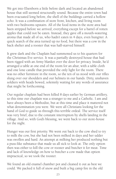We got into Elsenborn a little before dark and located an abandoned house that still seemed structurally sound. Because the entire town had been evacuated long before, the shell of the buildings carried a hollow echo. It was a combination of store front, kitchen, and living room with two bedrooms upstairs. All of the food items in the store area had been stripped before we arrived; everything except for a barrel of rotten apples that could not be eaten. Instead, they gave off a mouth-watering aroma that made all of us, who hadn't eaten in 4 days, even hungrier. A quick search of the area turned up no food, but there was a cow in the back shelter and a rooster that was half-starved himself.

It grew dark and the Chaplain had summoned us to his quarters for the Christmas Eve service. It was a partially destroyed house that had been rigged with an Army blanket over the door for privacy. Inside, he'd arranged a table at one end of the room for an altar, with a table cloth and one lone candle that provided the only light for the room. There was no other furniture in the room, so the ten of us stood with our rifles slung over our shoulders and our helmets in our hands. Dirty, unshaven soldiers with heads bowed, solemnly waiting for any words of assurance that might be forthcoming.

Our regular chaplain had been killed 8 days earlier by German artillery, so this time our chaplain was a stranger to me and a Catholic. I am and have always been a Methodist, but at this time and place it mattered not what denomination you were. We were all Christians looking for the hand of God to guide us through this terrible ordeal. The service itself was very brief, due to the constant interruption by shells landing in the village. And so, with God's blessing, we went back to our store-house for the night.

Hunger was our first priority. We went out back to the cow shed to try to milk the cow, but she had not been milked in days and her udder was swollen and hard. An attempt at milking her produced nothing but a puss-like substance that made us all sick to look at. The only option then was either to kill the cow or rooster and butcher it for meat. Time and lack of knowledge on how to butcher a cow made that option impractical, so we took the rooster.

We found an old enamel chamber pot and cleaned it out as best we could. We packed it full of snow and built a big camp fire in the old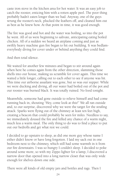caste iron stove in the kitchen area for hot water. It was an easy job to catch the rooster, enticing him with a rotten apple peel. The poor thing probably hadn't eaten longer than we had. Anyway, one of the guys wrung the rooster's neck, plucked the feathers off, and cleaned him out as best as he knew how. At that point in time, it was good enough.

The fire was good and hot and the water was boiling, so into the pot he went. All of us were beginning to salivate, anticipating eating boiled chicken. All of a sudden we heard an airplane coming and just as swiftly heavy machine gun fire began to hit out building. It was bedlameverybody diving for cover under or behind anything they could find.

And then total silence.

We waited for another few minutes and began to stir around again when here he comes again from the other direction, slamming those shells into our house, making us scramble for cover again. This time we waited a little longer, calling out to each other to see if anyone was hit. This time our airborne assailant was gone, but so was our supper. While we were ducking and diving, all our water had boiled out of the pot and our rooster was burned black. It was totally ruined. No food tonight.

Meanwhile, someone had gone outside to relieve himself and had come running back in, shouting "Hey, come look at this!" We all ran outside and, to our surprise, discovered why we were the target for the strafing attack. Sparks were flying out of the chimney at least ten feet high, creating a beacon that could probably be seen for miles. Needless to say, we immediately doused the fire and killed any chance of a warm night, much less a warm meal. The only thing to do was to find a place to put out our bedrolls and get what rest we could.

I decided to go upstairs to sleep, as did one more guy whose name I either didn't know or have long forgotten. I laid my sack out in one bedroom next to the chimney, which still had some warmth in it from our fire downstairs. I was so hungry I couldn't sleep. I decided to poke around some more, so with my Zippo lighter for a lamp, I discovered a narrow door that opened into a long narrow closet that was only wide enough for shelves down one side.

There were all kinds of old empty jars and bottles and rags. Then I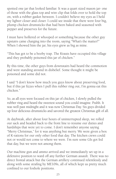spotted one jar that looked familiar. It was a quart sized mason jar- one of those with the glass top and wire clip that folds over to hold the top on, with a rubber gasket between. I couldn't believe my eyes as I held my lighter closer and closer. I could see inside that there were four big, plump chicken drumsticks that had been baked and seasoned with pepper and preserves for the future.

I must have hollered or whooped or something because the other guy upstairs came charging into the room, saying "What's the matter?" When I showed him the jar, his eyes grew as big as mine.

"This has got to be a booby trap. The Krauts have occupied this village and they probably poisoned this jar of chicken."

By this time, the other guys from downstairs had heard the commotion and were standing around in disbelief. Some thought it might be poisoned and some did not.

I said "I don't know how much you guys know about preserving food, but if this jar fizzes when I pull this rubber ring out, I'm gonna eat this chicken."

So, as all eyes were focused on this jar of chicken, I slowly pulled the rubber ring and heard the sweetest sound you could imagine. Psshh. It was well past midnight and it was now Christmas Day. Six guys divided up four delicious drumsticks and savored the greatest Christmas gift of all.

At daybreak, after about four hours of uninterrupted sleep, we rolled our sack and headed back to the front line to resume our duties and hardships that were yet to come. I don't remember anyone saying "Merry Christmas," for it was anything but merry. We were given a box of K-rations for our only other food that day. The kitchen crews could not or would not come to where we were. I'm sure some GIs got fed that day, but we were not among them.

Our machine gun and ammo arrived and we immediately set up in a defensive position to ward off any further German assault. There was no direct frontal attack but the German artillery continued relentlessly and along with some strafing by ME109s, all of which kept us pretty much confined to our foxhole positions.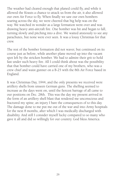The weather had cleared enough that planed could fly, and while it allowed the Krauts a chance to attack us from the air, it also allowed our own Air Force to fly. When finally we saw our own bombers soaring across the sky, we were cheered that big help was on the way. We watched in wonder as a large formation went over and was drawing heavy anti-aircraft fire. One bomber was hit and began to fall, turning slowly and pitching into a dive. We waited anxiously to see any parachutes, but none were ever seen. It was a lousy Christmas for that crew.

The rest of the bomber formation did not waver, but continued on its course just as before, while another plane moved up into the vacant spot left by the stricken bomber. We had to admire their grit to hold fast under such heavy fire. All I could think about was the possibility that that bomber could have carried one of my brothers, who was a crew chief and waist gunner on a B-25 with the 8th Air Force based in England.

It was Christmas Day, 1944, and the only presents we received were artillery shells from unseen German guns. The shelling seemed to increase as the days went on, until the fiercest barrage of all came to our positions on Dec. 28th. This was the day my present arrived in the form of an artillery shell blast that rendered me unconscious and fractured my spine; an injury I bare the consequences of to this day. The damage done to me put me out of the war and into Army hospitals for the next 8 months, after which I was medically discharged with disability. And still I consider myself lucky compared to so many who gave it all and did so willingly for our country. God bless America.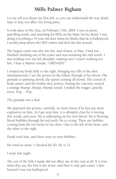# **Mills Palmer Bigham**

Let me tell you about my first kill, so you can understand the way death may or may not affect the living party.

It took place in Hit, Iraq, on February 13th, 2006. I was on point, patrolling south, and searching for IEDs on the Main Service Road. I was doing everything a 19 year old does when he thinks that he is bulletproof. I would jump down into IED craters and kick the dirt around.

The largest crater was also the last, and closest, to base. I had just finished climbing out of the crater and was resuming the trek south. I was looking over my left shoulder, making sure I wasn't walking too fast. I hear a Marine scream, "GRENADE".

I rotated my body fully to the right, bringing my rifle to the alert simultaneously. I see the person in the follow through of his throw. The grenade is spinning slowly, the spoon coming off slowly. The sound of body armor, and the bodies they protect, hitting the concrete created a strange thump, thump, thump sound. I pulled the trigger, quickly, twice. Pop… Pop.

The grenade was a dud.

We approach the person, carefully, we don't know if he has any more explosives on him. As I get near him, it is abruptly clear he is leaving this world, and soon. He is suffocating on his own blood. He is blowing blood bubbles through his red teeth. He is crying. There are bubbles coming from the two holes in his chest. One to the left of his heart, and the other to the right.

Death took him, and there were no new bubbles.

He cried no more. I checked his ID. He is 12.

I wept that night.

The rest of the kills I made did not affect me in this way at all. It is true what they say, the first is the worst, and then it only gets easier. I also learned I was not bulletproof.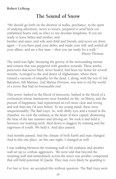# **The Sound of Snow**

"We should go forth on the shortest of walks, perchance, in the spirit of undying adventure, never to return, prepared to send back our embalmed hearts only as relics to our desolate kingdoms. If you are ready to leave father and mother, and

brother and sister, and wife and child and friends, and never see them again -- if you have paid your debts, and made your will, and settled all your affairs, and are a free man -- then you are ready for a walk." -Henry Thoreau

The wind was light, betraying the gravity of the surrounding mortar and cement that was peppered with gunshot wounds. These marks, punctures that never bled, never healed, had been my home for several months. Scourged to the arid desert of Afghanistan, where there existed a vacuum of empathy for the dead, I, along, with the rest of 3rd Battalion, 6th Marines, 2nd Marine Division, was sent to rid the world of a terror that had no foreseeable end.

This terror, bathed in the blood of innocents, bathed in the blood of a civilization whose institutions were founded on life, on liberty, and the pursuit of happiness, had represented an evil more clear and wrong and real than any I'd seen before. To my young mind, these were, unquestionably, The Bad Guys. So, with shifty eyes and a round in the chamber, we took the embassy at the heart of their capital, dismissing the heat of the late summer and driving on. We took it and held it between our foaming teeth, filed down to daggers by training and the eagerness of youth. We held it. And days passed.

And months passed. And the climate of both Earth and man changed. And in this one place, on this one night, I changed as well.

I was walking between the retaining wall of the embassy and another wall set up to confuse aggressors. We were told that beyond the retaining wall and immediately across the street was another compound that still held potential Al Qaeda. They may even likely be guarding it.

For lust or love, we accepted this without question. The Bad Guys were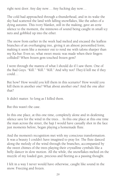right next door. Any day now… Any fucking day now…

The cold had approached through a thunderhead, and in its wake the sky had scattered the land with falling snowflakes, like the ashes of a dying autumn. This ivory blanket, still in the making, gave an eerie silence to the moment, the minnows of sound being caught in small icy nets and gobbled up into the ether.

The snow from earlier in the week had melted and encased the leafless branches of an overhanging tree, giving it an almost personified form; making it seem like a monster out to rend me with talons sharper than my Ka-bar. Even so, what sweet music was made when their fingers collided? When frozen gem touched frozen gem?

I went through the mantra of what I should do if I saw them. One of the Bad Guys. "Kill." "Kill." "Kill." And why not? They'd kill me if they could…

But how? How would you kill them in this scenario? How would you kill them in another one? What about another one? And the one after that?

It didn't matter. So long as I killed them.

But this wasn't the case.

In this one place, at this one time, completely alone and in deafening silence save for the wind in the trees… In this one place at this one time the man across the street, the haji I would have casually shot in the face just moments before, began playing a homemade flute.

And the moment's recognition met with my conscious transformation. It was a beauty I couldn't have imagined to pray for. The flute danced along the melody of the wind through the branches, accompanied by the sweet chimes of the trees playing their crystalline cymbals like a belly dancer in slow motion. All the while, the snowflakes melted on the muzzle of my loaded gun, precious and fleeting as a passing thought.

I felt in a way I never would have otherwise, caught like sound in the snow. Freezing and frozen.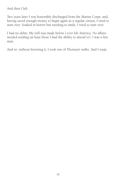And then I left.

Two years later I was honorably discharged from the Marine Corps. and, having saved enough money to begin again as a regular citizen, I tried to start over. Soaked in horror but needing to smile, I tried to start over.

I had no debts. My will was made before I ever left America. No affairs needed tending (at least those I had the ability to attend to). I was a free man.

And so, without knowing it, I took one of Thoreau's walks. And I wept.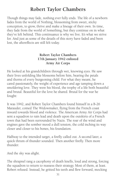# **Robert Taylor Chambers**

Though things may fade, nothing ever fully ends. The life of a newborn fades from the world of Nothing, blossoming from sweet, sticky conception, to grow, thrive and make a lineage of their own. In time, they fade from the world of Something, but they continue on in what they've left behind. This continuance is why we live. It's what we strive for. And just as some of the details of this story have faded and been lost, the aftereffects are still felt today.

#### **Robert Taylor Chambers 17th January 1942 enlisted Army Air Corps**

He looked at his grandchildren through wet, knowing eyes. He saw their lives unfolding like blossoms before him, bearing the petals and thorns of every burgeoning child. For what they meant, he cared passionately, the weight of experience and age tamping down a smoldering love. They were his blood, the trophy of a life both beautiful and brutal. Beautiful for the love he shared. Brutal for the war he fought:

It was 1942, and Robert Taylor Chambers found himself in a B-26 Marauder, coined The Widowmaker, flying from the French coast inward towards blood and violence. The American Army Air Corps had sent a squadron to rain lead and death upon the outskirts of a French town that had been surrounded by Nazis. The roar of the wind and engines gave the somber mood a dull tension, the cold inching its way closer and closer to his bones, his foundation.

Halfway to the intended target, a firefly called out. A second later, a quick thrum of thunder sounded. Then another firefly. Then more thunder.

And the sky was alight.

The shrapnel rang a cacophony of death knells, loud and strong, forcing the squadron to return to reassess their strategy. Most of them, at least. Robert refused. Instead, he gritted his teeth and flew forward, mocking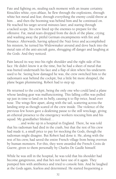Fate and fighting on, stealing each moment with an insane certainty. Knuckles white, eyes ablaze, he flew through the explosions, through white hot metal and fear, through everything the enemy could throw at him... and then the booming was behind him and he continued on. He reached his target several minutes later, and staring through a tacked scope, his crew lined up the enemies to prepare for the offensive. Fat, metal tears dropped from the deck of the plane, crying and washing away the pitiful German encampments with fire and brisance. Afterwards, having splayed the Nazi force and accomplished his mission, he turned his Widowmaker around and dove back into the metal rain of the anti-aircraft guns, shrugging off danger and laughing at the Gods. And they noticed.

Pain lanced its way into his right shoulder and the right side of his face. He didn't know it at the time, but he had a sheet of metal that was buried underneath his face and a flap of skin where his underarm used to be. Seeing how damaged he was, the crew switched him to the radioman's seat behind the cockpit, but a little bit more shrapnel, the plane began plummeting. Robert had to step up.

He returned to the cockpit, being the only one who could land a plane whose landing gear was malfunctioning. This falling coffin was pulled up just in time to land on its belly, causing it to flip twice, head over nose. The wings flew apart, along with the tail, scattering across the landing strip as though scared of the crew inside. The violence of the previous few hours gave a deafening pause to the still wreckage, giving an ethereal presence to the emergency workers rescuing him and his squad. My grandfather blinked…

…and woke up in a hospital in England. There, he was told that his radioman had died in the crash, but that the rest of his crew had made it, a small price to pay for mocking the Gods, though the radioman might disagree. But Robert had done it. He, along with the rest of his crew, had saved the entire French village from being overrun by human monsters. For this, they were awarded the French Croix de Guerre, given to them personally by Charles De Gaulle himself.

While he was still in the hospital, he was told that his shoulder had become gangrenous, and that he's not have use of it again. They pumped him with antibiotics and tried to console him. And he laughed at the Gods again, fearless and determined. He started frequenting a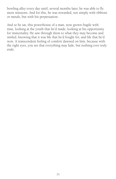bowling alley every day until, several months later, he was able to fly more missions. And for this, he was rewarded, not simply with ribbons or metals, but with his perpetuation.

And so he sat, this powerhouse of a man, now grown fragile with time, looking at the youth that he'd made; looking at his opportunity for immortality. He saw through them to what they may become and smiled, knowing that it was life that he'd fought for, and life that he'd won. A transcendent feeling of comfort dawned on him, because with the right eyes, you see that everything may fade, but nothing ever truly ends.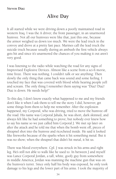# **Alive Day**

It all started while we were driving down a poorly maintained road in western Iraq. I was the A driver, the front passenger, in an unarmored humvee. Not all our humvees were like that, just this one, because the armor weighed us down too much. We were the lead truck in the convoy and drove at a pretty fast pace. Marines call the lead truck the suicide truck because usually during an ambush the first vehicle always gets hit and since it's unarmored the chances of you making it out aren't very good.

I was listening to the radio while watching the road for any signs of Improvised Explosive Devices. Almost like a scene from a sci-fi movie, time froze. There was nothing. I couldn't talk or see anything: Then slowly the only thing that came back was sound and some feeling. I touched my face that was covered with blood while hearing people yell and scream. The only thing I remember them saying was "Diaz! Diaz! Diaz is down. He needs help!"

To this day, I don't know exactly what happened to me and my friends don't like it when I ask them to tell me the story. I did, however, get some things from them to help me remember. After the explosion happened, my Corporal, who was driving, tried to move the humvee off the road. His name was Corporal Jahala, he was short, dark skinned, and always felt like he had something to prove; but nobody ever knew how to say his name so we just called him Corporal J. We met up later on after the attack and he told me that when the bomb went off, pieces of shrapnel shot into the humvee and ricocheted inside. He said it looked like fireworks because of the sparks when it hit something metal. But it was no show; when the shrapnel that didn't hit metal, it hit us.

There was blood everywhere. Cpl. J was struck in his arms and right leg. He's still not able to walk like he used to. In between J and myself was Lance Corporal Jordan, a tall, white, goofy guy from somewhere in middle America; Jordan was manning the machine gun that was on the humvee's turret. Since only half his body was exposed, he only took damage to his legs and the lower part of his arms. I took the majority of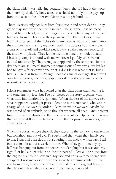the blast, which was relieving because I knew that if I had it the worst, then nobody died. My body acted as a shield not only to the guys up front, but also to the other two Marines sitting behind us.

Those Marines only got hurt from flying rocks and other debris. They got to stay and finish their time in Iraq. The shrapnel that bounced around hit my head, arms, and legs. One piece entered my left eye and bounced from the bones in the eye socket into the right side of my brain. A large part of the right side of my head is made of plastic. Since the shrapnel was making my brain swell, the doctors had to remove a part of my skull and couldn't put it back, so they made a replica of the skull with plastic. They let me keep the bone they took out and I basically carry it around with me wherever I go. My arms weren't injured too severely. They were just peppered by the shrapnel. To this day, there are still metal fragments coming out of my arms. My left leg had to have a fasciotomy done on it. I don't know what that is, but I have a huge scar from it. My right foot took major damage. It required over ten surgeries, one bone graph, two skin grafts, and many other reconstructive procedures.

I don't remember what happened after the blast other than hearing it and touching my face, but I've put pieces of the story together with what little information I've gathered. When the rest of the convoy saw what happened, word got passed down to our Lieutenant, who was in charge of us. He gave the order to leave us where we were. Maybe he was scared of an ambush, or he thought we were all dead. One Sergeant from our platoon disobeyed the order and went to help us. He then saw that we were still alive so he called from the corpsmen, or medics, to come help us.

When the corpsmen got the call, they raced up the convoy to our rescue but somehow ran out of gas. I've been told that when they finally got to me, I was still conscious, but suffering from shock, which later I fell into a coma for about a week or more. When they got to me my eye ball was hanging out from the socket, not dangling but it was out. My right foot had a huge whole on the top part of it, lost all the bones from the big toe over to the next two. My face and arms were peppered with shrapnel. I was medevaced from the scene to a trauma center in Iraq and from there, flown to a military hospital in Germany, and lastly, to the National Naval Medical Center in Bethesda, Maryland.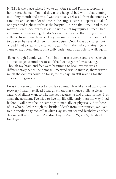NNMC is the place where I woke up. One second I'm in a scorching hot desert, the next I'm tied down to a hospital bed with tubes coming out of my mouth and arms. I was eventually released from the intensive care unit and spent a lot of time in the surgical wards. I spent a total of one year and eight months at the hospital. During that time I had to see many different doctors to assist me with all of my injuries. Since I had a traumatic brain injury, the doctors were all scared that I might have suffered from brain damage. They ran many tests on my head and had to be seen by several different neurologists. Once I was able to get out of bed I had to learn how to walk again. With the help of trainers (who came to my room almost on a daily basis) and I was able to walk again.

 Even though I could walk, I still had to use crutches and a wheelchair at times to get around because of the foot surgeries I was having. Though my brain and feet were beginning to heal, my eye was a different story. Since the damage I received was so intense, there wasn't much the doctors could do for it, to this day I'm still waiting for the chance to regain vision.

I was truly scared. I never before felt so much fear like I did during my recovery. I finally realized I was given another chance at life, a clean slate. God didn't want to take me yet because he had a plan for me. Ever since the accident, I've tried to live my life differently than the way I had before. I will never be the same again mentally or physically. For those of us who pulled through the brink of death from our injuries, we lived to die another day. We call it Alive Day. It's our second birthday, another day we will never forget. My Alive Day is March 25, 2005, the day I lived again.